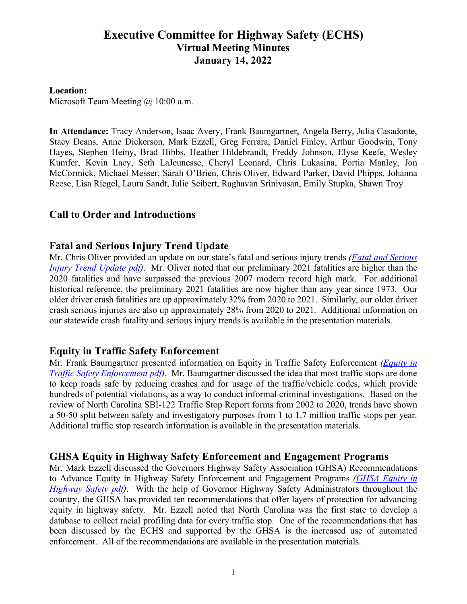# **Executive Committee for Highway Safety (ECHS) Virtual Meeting Minutes January 14, 2022**

#### **Location:**

Microsoft Team Meeting @ 10:00 a.m.

**In Attendance:** Tracy Anderson, Isaac Avery, Frank Baumgartner, Angela Berry, Julia Casadonte, Stacy Deans, Anne Dickerson, Mark Ezzell, Greg Ferrara, Daniel Finley, Arthur Goodwin, Tony Hayes, Stephen Heiny, Brad Hibbs, Heather Hildebrandt, Freddy Johnson, Elyse Keefe, Wesley Kumfer, Kevin Lacy, Seth LaJeunesse, Cheryl Leonard, Chris Lukasina, Portia Manley, Jon McCormick, Michael Messer, Sarah O'Brien, Chris Oliver, Edward Parker, David Phipps, Johanna Reese, Lisa Riegel, Laura Sandt, Julie Seibert, Raghavan Srinivasan, Emily Stupka, Shawn Troy

## **Call to Order and Introductions**

### **Fatal and Serious Injury Trend Update**

Mr. Chris Oliver provided an update on our state's fatal and serious injury trends *[\(Fatal and Serious](https://connect.ncdot.gov/groups/echs/Documents/2022/Fatal%20and%20Serious%20Injury%20Trend%20Update%20(1-14-22).pdf)  [Injury Trend Update pdf\)](https://connect.ncdot.gov/groups/echs/Documents/2022/Fatal%20and%20Serious%20Injury%20Trend%20Update%20(1-14-22).pdf)*. Mr. Oliver noted that our preliminary 2021 fatalities are higher than the 2020 fatalities and have surpassed the previous 2007 modern record high mark. For additional historical reference, the preliminary 2021 fatalities are now higher than any year since 1973. Our older driver crash fatalities are up approximately 32% from 2020 to 2021. Similarly, our older driver crash serious injuries are also up approximately 28% from 2020 to 2021. Additional information on our statewide crash fatality and serious injury trends is available in the presentation materials.

## **Equity in Traffic Safety Enforcement**

Mr. Frank Baumgartner presented information on Equity in Traffic Safety Enforcement *[\(Equity in](https://connect.ncdot.gov/groups/echs/Documents/2022/Equity%20in%20Traffic%20Safety%20Enforcement%20(1-14-22).pdf)  [Traffic Safety Enforcement pdf\)](https://connect.ncdot.gov/groups/echs/Documents/2022/Equity%20in%20Traffic%20Safety%20Enforcement%20(1-14-22).pdf)*. Mr. Baumgartner discussed the idea that most traffic stops are done to keep roads safe by reducing crashes and for usage of the traffic/vehicle codes, which provide hundreds of potential violations, as a way to conduct informal criminal investigations. Based on the review of North Carolina SBI-122 Traffic Stop Report forms from 2002 to 2020, trends have shown a 50-50 split between safety and investigatory purposes from 1 to 1.7 million traffic stops per year. Additional traffic stop research information is available in the presentation materials.

#### **GHSA Equity in Highway Safety Enforcement and Engagement Programs**

Mr. Mark Ezzell discussed the Governors Highway Safety Association (GHSA) Recommendations to Advance Equity in Highway Safety Enforcement and Engagement Programs *[\(GHSA Equity in](https://connect.ncdot.gov/groups/echs/Documents/2022/GHSA%20Equity%20in%20Highway%20Safety%20(1-14-22).pdf)  [Highway Safety pdf\)](https://connect.ncdot.gov/groups/echs/Documents/2022/GHSA%20Equity%20in%20Highway%20Safety%20(1-14-22).pdf)*. With the help of Governor Highway Safety Administrators throughout the country, the GHSA has provided ten recommendations that offer layers of protection for advancing equity in highway safety. Mr. Ezzell noted that North Carolina was the first state to develop a database to collect racial profiling data for every traffic stop. One of the recommendations that has been discussed by the ECHS and supported by the GHSA is the increased use of automated enforcement. All of the recommendations are available in the presentation materials.